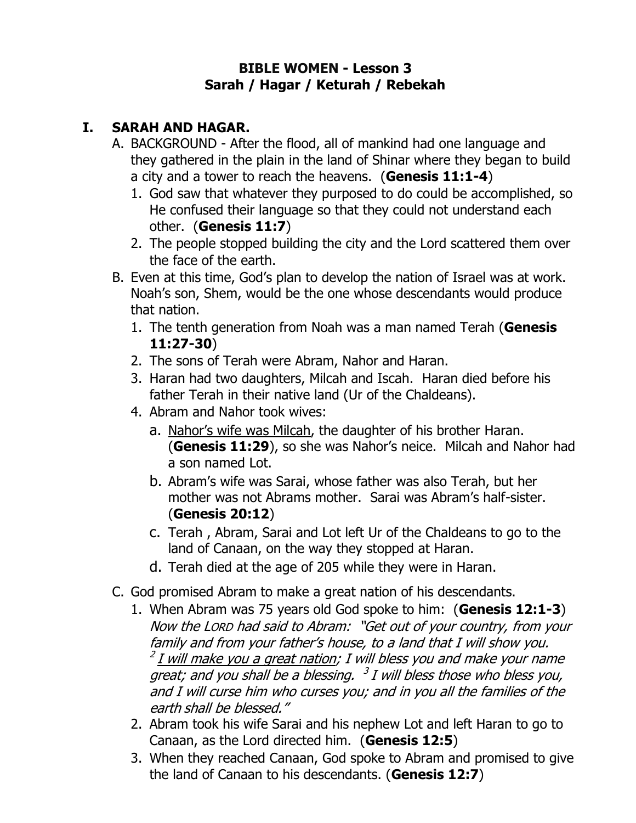#### **BIBLE WOMEN - Lesson 3 Sarah / Hagar / Keturah / Rebekah**

### **I. SARAH AND HAGAR.**

- A. BACKGROUND After the flood, all of mankind had one language and they gathered in the plain in the land of Shinar where they began to build a city and a tower to reach the heavens. (**Genesis 11:1-4**)
	- 1. God saw that whatever they purposed to do could be accomplished, so He confused their language so that they could not understand each other. (**Genesis 11:7**)
	- 2. The people stopped building the city and the Lord scattered them over the face of the earth.
- B. Even at this time, God's plan to develop the nation of Israel was at work. Noah's son, Shem, would be the one whose descendants would produce that nation.
	- 1. The tenth generation from Noah was a man named Terah (**Genesis 11:27-30**)
	- 2. The sons of Terah were Abram, Nahor and Haran.
	- 3. Haran had two daughters, Milcah and Iscah. Haran died before his father Terah in their native land (Ur of the Chaldeans).
	- 4. Abram and Nahor took wives:
		- a. Nahor's wife was Milcah, the daughter of his brother Haran. (**Genesis 11:29**), so she was Nahor's neice. Milcah and Nahor had a son named Lot.
		- b. Abram's wife was Sarai, whose father was also Terah, but her mother was not Abrams mother. Sarai was Abram's half-sister. (**Genesis 20:12**)
		- c. Terah , Abram, Sarai and Lot left Ur of the Chaldeans to go to the land of Canaan, on the way they stopped at Haran.
		- d. Terah died at the age of 205 while they were in Haran.
- C. God promised Abram to make a great nation of his descendants.
	- 1. When Abram was 75 years old God spoke to him: (**Genesis 12:1-3**) Now the LORD had said to Abram: "Get out of your country, from your family <sup>a</sup>nd from your father's house, to a land that I will show you. <sup>2</sup> <u>I will make you a great nation</u>; I will bless you and make your name great; and you shall be a blessing.  $3$  I will bless those who bless you, and I will curse him who curses you; and in you all the families of the earth shall be blessed."
	- 2. Abram took his wife Sarai and his nephew Lot and left Haran to go to Canaan, as the Lord directed him. (**Genesis 12:5**)
	- 3. When they reached Canaan, God spoke to Abram and promised to give the land of Canaan to his descendants. (**Genesis 12:7**)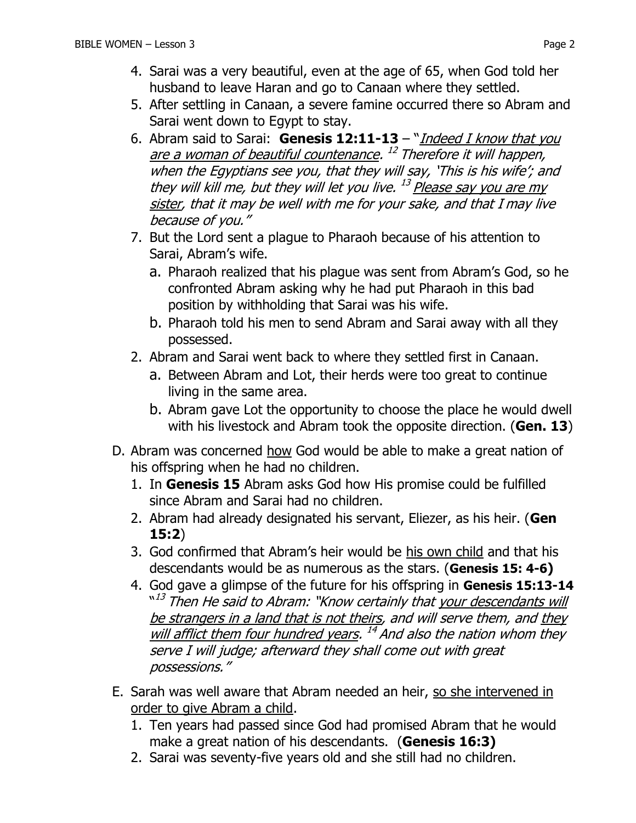- 4. Sarai was a very beautiful, even at the age of 65, when God told her husband to leave Haran and go to Canaan where they settled.
- 5. After settling in Canaan, a severe famine occurred there so Abram and Sarai went down to Egypt to stay.
- 6. Abram said to Sarai: **Genesis 12:11-13** "Indeed I know that you are a woman of beautiful countenance. <sup>12</sup> Therefore it will happen, when the Egyptians see you, that they will say, 'This is his wife'; and they will kill me, but they will let you live. <sup>13</sup> Please say you are my sister, that it may be well with me for your sake, and that I may live because of you."
- 7. But the Lord sent a plague to Pharaoh because of his attention to Sarai, Abram's wife.
	- a. Pharaoh realized that his plague was sent from Abram's God, so he confronted Abram asking why he had put Pharaoh in this bad position by withholding that Sarai was his wife.
	- b. Pharaoh told his men to send Abram and Sarai away with all they possessed.
- 2. Abram and Sarai went back to where they settled first in Canaan.
	- a. Between Abram and Lot, their herds were too great to continue living in the same area.
	- b. Abram gave Lot the opportunity to choose the place he would dwell with his livestock and Abram took the opposite direction. (**Gen. 13**)
- D. Abram was concerned how God would be able to make a great nation of his offspring when he had no children.
	- 1. In **Genesis 15** Abram asks God how His promise could be fulfilled since Abram and Sarai had no children.
	- 2. Abram had already designated his servant, Eliezer, as his heir. (**Gen 15:2**)
	- 3. God confirmed that Abram's heir would be his own child and that his descendants would be as numerous as the stars. (**Genesis 15: 4-6)**
	- 4. God gave a glimpse of the future for his offspring in **Genesis 15:13-14** <sup>"13</sup> Then He said to Abram: "Know certainly that <u>your descendants will</u> be strangers in a land that is not theirs, and will serve them, and they will afflict them four hundred years. <sup>14</sup> And also the nation whom they serve I will judge; afterward they shall come out with great possessions."
- E. Sarah was well aware that Abram needed an heir, so she intervened in order to give Abram a child.
	- 1. Ten years had passed since God had promised Abram that he would make a great nation of his descendants. (**Genesis 16:3)**
	- 2. Sarai was seventy-five years old and she still had no children.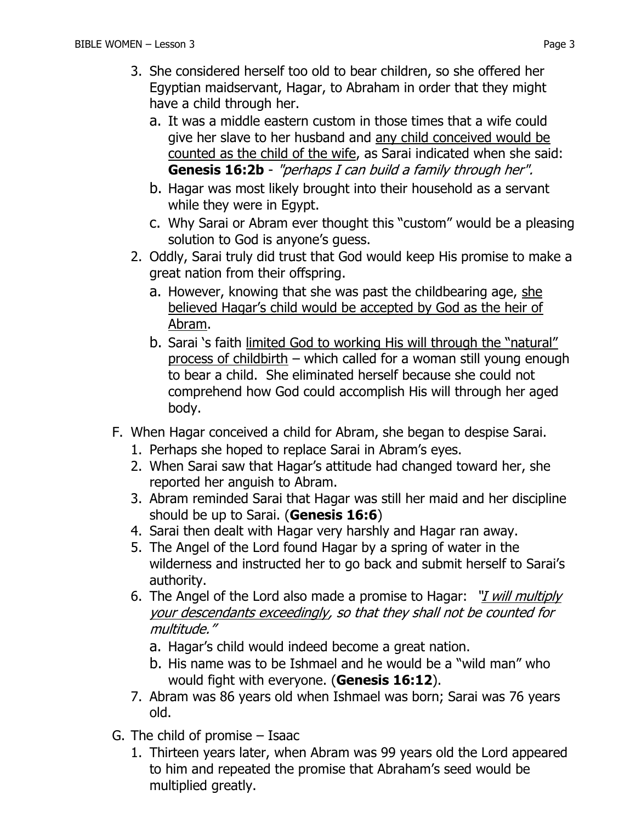- a. It was a middle eastern custom in those times that a wife could give her slave to her husband and any child conceived would be counted as the child of the wife, as Sarai indicated when she said: **Genesis 16:2b** - "perhaps I can build a family through her".
- b. Hagar was most likely brought into their household as a servant while they were in Egypt.
- c. Why Sarai or Abram ever thought this "custom" would be a pleasing solution to God is anyone's guess.
- 2. Oddly, Sarai truly did trust that God would keep His promise to make a great nation from their offspring.
	- a. However, knowing that she was past the childbearing age, she believed Hagar's child would be accepted by God as the heir of Abram.
	- b. Sarai 's faith limited God to working His will through the "natural" process of childbirth – which called for a woman still young enough to bear a child. She eliminated herself because she could not comprehend how God could accomplish His will through her aged body.
- F. When Hagar conceived a child for Abram, she began to despise Sarai.
	- 1. Perhaps she hoped to replace Sarai in Abram's eyes.
	- 2. When Sarai saw that Hagar's attitude had changed toward her, she reported her anguish to Abram.
	- 3. Abram reminded Sarai that Hagar was still her maid and her discipline should be up to Sarai. (**Genesis 16:6**)
	- 4. Sarai then dealt with Hagar very harshly and Hagar ran away.
	- 5. The Angel of the Lord found Hagar by a spring of water in the wilderness and instructed her to go back and submit herself to Sarai's authority.
	- 6. The Angel of the Lord also made a promise to Hagar: "*I will multiply* your descendants exceedingly, so that they shall not be counted for multitude."
		- a. Hagar's child would indeed become a great nation.
		- b. His name was to be Ishmael and he would be a "wild man" who would fight with everyone. (**Genesis 16:12**).
	- 7. Abram was 86 years old when Ishmael was born; Sarai was 76 years old.
- G. The child of promise Isaac
	- 1. Thirteen years later, when Abram was 99 years old the Lord appeared to him and repeated the promise that Abraham's seed would be multiplied greatly.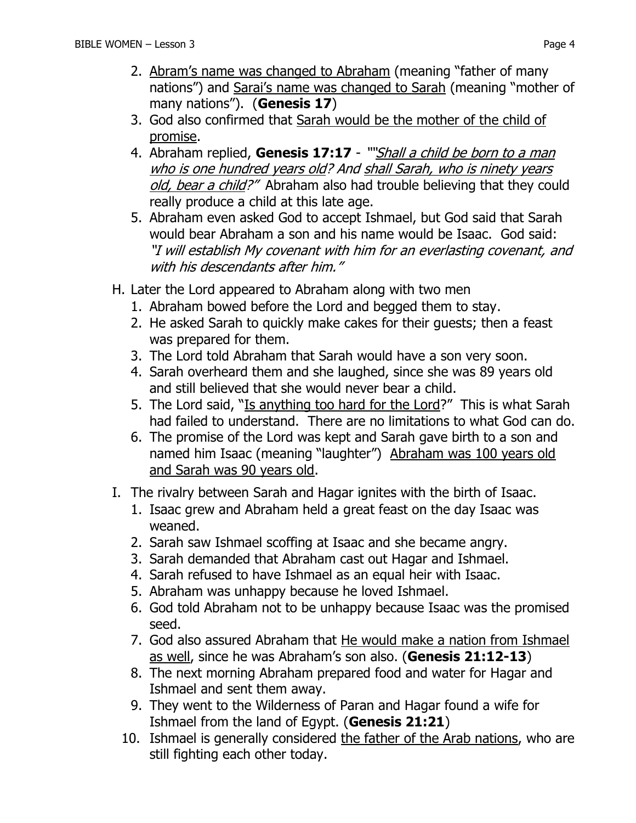- 2. Abram's name was changed to Abraham (meaning "father of many nations") and Sarai's name was changed to Sarah (meaning "mother of many nations"). (**Genesis 17**)
- 3. God also confirmed that Sarah would be the mother of the child of promise.
- 4. Abraham replied, **Genesis 17:17** ""Shall a child be born to a man who is one hundred years old? And shall Sarah, who is ninety years old, bear a child?" Abraham also had trouble believing that they could really produce a child at this late age.
- 5. Abraham even asked God to accept Ishmael, but God said that Sarah would bear Abraham a son and his name would be Isaac. God said: "I will establish My covenant with him for an everlasting covenant, and with his descendants after him."
- H. Later the Lord appeared to Abraham along with two men
	- 1. Abraham bowed before the Lord and begged them to stay.
	- 2. He asked Sarah to quickly make cakes for their guests; then a feast was prepared for them.
	- 3. The Lord told Abraham that Sarah would have a son very soon.
	- 4. Sarah overheard them and she laughed, since she was 89 years old and still believed that she would never bear a child.
	- 5. The Lord said, "Is anything too hard for the Lord?" This is what Sarah had failed to understand. There are no limitations to what God can do.
	- 6. The promise of the Lord was kept and Sarah gave birth to a son and named him Isaac (meaning "laughter") Abraham was 100 years old and Sarah was 90 years old.
- I. The rivalry between Sarah and Hagar ignites with the birth of Isaac.
	- 1. Isaac grew and Abraham held a great feast on the day Isaac was weaned.
	- 2. Sarah saw Ishmael scoffing at Isaac and she became angry.
	- 3. Sarah demanded that Abraham cast out Hagar and Ishmael.
	- 4. Sarah refused to have Ishmael as an equal heir with Isaac.
	- 5. Abraham was unhappy because he loved Ishmael.
	- 6. God told Abraham not to be unhappy because Isaac was the promised seed.
	- 7. God also assured Abraham that He would make a nation from Ishmael as well, since he was Abraham's son also. (**Genesis 21:12-13**)
	- 8. The next morning Abraham prepared food and water for Hagar and Ishmael and sent them away.
	- 9. They went to the Wilderness of Paran and Hagar found a wife for Ishmael from the land of Egypt. (**Genesis 21:21**)
	- 10. Ishmael is generally considered the father of the Arab nations, who are still fighting each other today.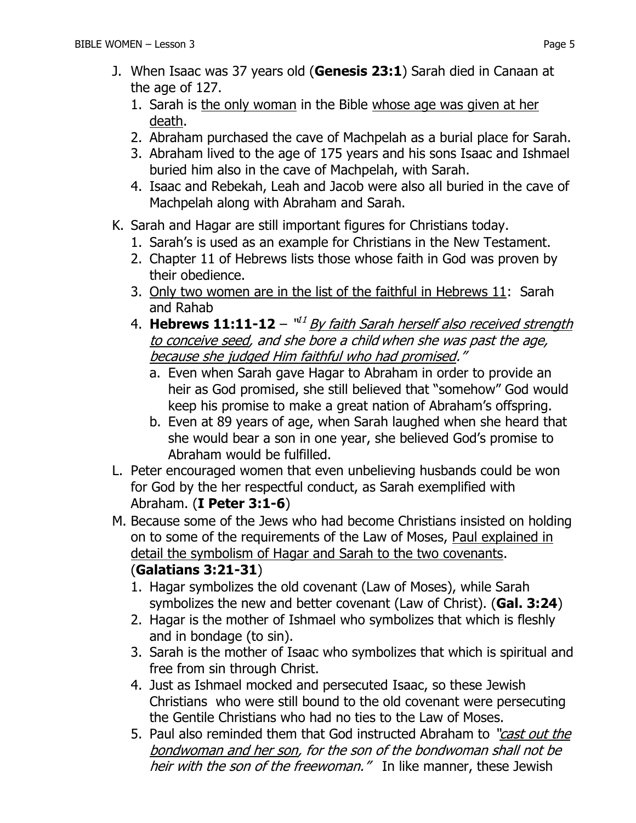- J. When Isaac was 37 years old (**Genesis 23:1**) Sarah died in Canaan at the age of 127.
	- 1. Sarah is the only woman in the Bible whose age was given at her death.
	- 2. Abraham purchased the cave of Machpelah as a burial place for Sarah.
	- 3. Abraham lived to the age of 175 years and his sons Isaac and Ishmael buried him also in the cave of Machpelah, with Sarah.
	- 4. Isaac and Rebekah, Leah and Jacob were also all buried in the cave of Machpelah along with Abraham and Sarah.
- K. Sarah and Hagar are still important figures for Christians today.
	- 1. Sarah's is used as an example for Christians in the New Testament.
	- 2. Chapter 11 of Hebrews lists those whose faith in God was proven by their obedience.
	- 3. Only two women are in the list of the faithful in Hebrews 11: Sarah and Rahab
	- 4. **Hebrews 11:11-12** "<sup>11</sup> By faith Sarah herself also received strength to conceive seed, and she bore a child when she was past the age, because she judged Him faithful who had promised."
		- a. Even when Sarah gave Hagar to Abraham in order to provide an heir as God promised, she still believed that "somehow" God would keep his promise to make a great nation of Abraham's offspring.
		- b. Even at 89 years of age, when Sarah laughed when she heard that she would bear a son in one year, she believed God's promise to Abraham would be fulfilled.
- L. Peter encouraged women that even unbelieving husbands could be won for God by the her respectful conduct, as Sarah exemplified with Abraham. (**I Peter 3:1-6**)
- M. Because some of the Jews who had become Christians insisted on holding on to some of the requirements of the Law of Moses, Paul explained in detail the symbolism of Hagar and Sarah to the two covenants. (**Galatians 3:21-31**)
	- 1. Hagar symbolizes the old covenant (Law of Moses), while Sarah symbolizes the new and better covenant (Law of Christ). (**Gal. 3:24**)
	- 2. Hagar is the mother of Ishmael who symbolizes that which is fleshly and in bondage (to sin).
	- 3. Sarah is the mother of Isaac who symbolizes that which is spiritual and free from sin through Christ.
	- 4. Just as Ishmael mocked and persecuted Isaac, so these Jewish Christians who were still bound to the old covenant were persecuting the Gentile Christians who had no ties to the Law of Moses.
	- 5. Paul also reminded them that God instructed Abraham to "cast out the bondwoman and her son, for the son of the bondwoman shall not be heir with the son of the freewoman." In like manner, these Jewish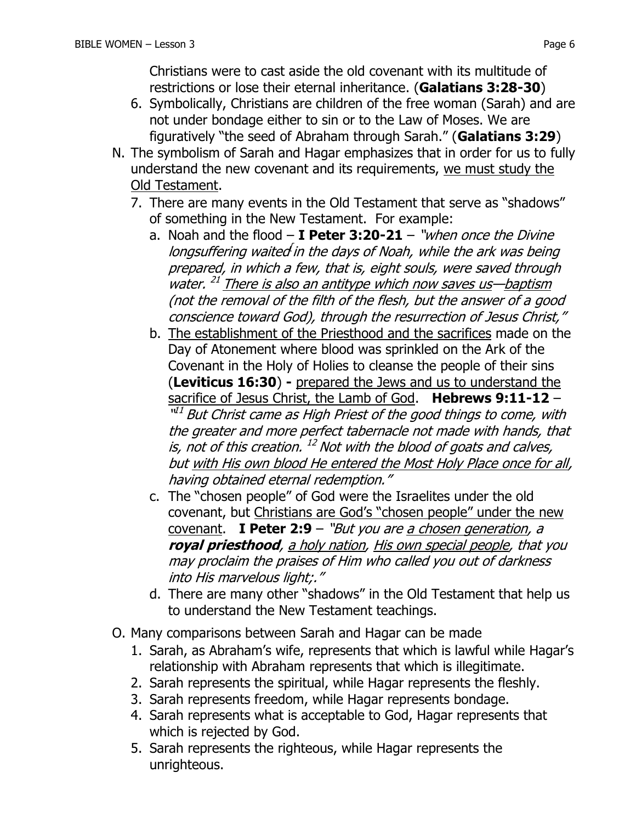Christians were to cast aside the old covenant with its multitude of restrictions or lose their eternal inheritance. (**Galatians 3:28-30**)

- 6. Symbolically, Christians are children of the free woman (Sarah) and are not under bondage either to sin or to the Law of Moses. We are figuratively "the seed of Abraham through Sarah." (**Galatians 3:29**)
- N. The symbolism of Sarah and Hagar emphasizes that in order for us to fully understand the new covenant and its requirements, we must study the Old Testament.
	- 7. There are many events in the Old Testament that serve as "shadows" of something in the New Testament. For example:
		- a. Noah and the flood **I Peter 3:20-21** "when once the Divine longsuffering waited in the days of Noah, while the ark was being prepared, in which a few, that is, eight souls, were saved through water.<sup>21</sup> There is also an antitype which now saves us-baptism (not the removal of the filth of the flesh, but the answer of a good conscience toward God), through the resurrection of Jesus Christ,"
		- b. The establishment of the Priesthood and the sacrifices made on the Day of Atonement where blood was sprinkled on the Ark of the Covenant in the Holy of Holies to cleanse the people of their sins (**Leviticus 16:30**) **-** prepared the Jews and us to understand the sacrifice of Jesus Christ, the Lamb of God. **Hebrews 9:11-12** – "<sup>11</sup> But Christ came as High Priest of the good things to come, with the greater and more perfect tabernacle not made with hands, that is, not of this creation. <sup>12</sup> Not with the blood of goats and calves, but with His own blood He entered the Most Holy Place once for all, having obtained eternal redemption."
		- c. The "chosen people" of God were the Israelites under the old covenant, but Christians are God's "chosen people" under the new covenant. **I Peter 2:9** – "But you are a chosen generation, a **royal priesthood**, a holy nation, His own special people, that you may proclaim the praises of Him who called you out of darkness into His marvelous light;."
		- d. There are many other "shadows" in the Old Testament that help us to understand the New Testament teachings.
- O. Many comparisons between Sarah and Hagar can be made
	- 1. Sarah, as Abraham's wife, represents that which is lawful while Hagar's relationship with Abraham represents that which is illegitimate.
	- 2. Sarah represents the spiritual, while Hagar represents the fleshly.
	- 3. Sarah represents freedom, while Hagar represents bondage.
	- 4. Sarah represents what is acceptable to God, Hagar represents that which is rejected by God.
	- 5. Sarah represents the righteous, while Hagar represents the unrighteous.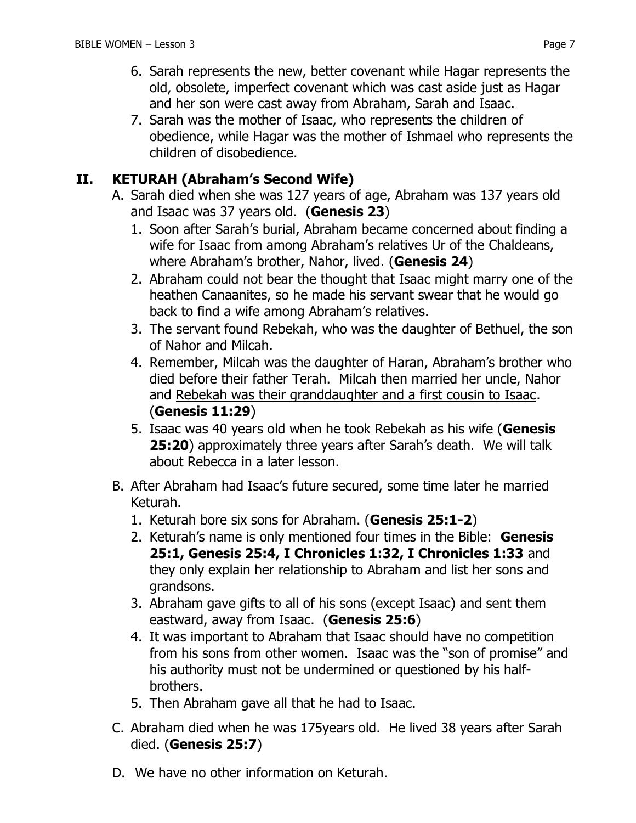7. Sarah was the mother of Isaac, who represents the children of obedience, while Hagar was the mother of Ishmael who represents the children of disobedience.

### **II. KETURAH (Abraham's Second Wife)**

- A. Sarah died when she was 127 years of age, Abraham was 137 years old and Isaac was 37 years old. (**Genesis 23**)
	- 1. Soon after Sarah's burial, Abraham became concerned about finding a wife for Isaac from among Abraham's relatives Ur of the Chaldeans, where Abraham's brother, Nahor, lived. (**Genesis 24**)
	- 2. Abraham could not bear the thought that Isaac might marry one of the heathen Canaanites, so he made his servant swear that he would go back to find a wife among Abraham's relatives.
	- 3. The servant found Rebekah, who was the daughter of Bethuel, the son of Nahor and Milcah.
	- 4. Remember, Milcah was the daughter of Haran, Abraham's brother who died before their father Terah. Milcah then married her uncle, Nahor and Rebekah was their granddaughter and a first cousin to Isaac. (**Genesis 11:29**)
	- 5. Isaac was 40 years old when he took Rebekah as his wife (**Genesis 25:20**) approximately three years after Sarah's death. We will talk about Rebecca in a later lesson.
- B. After Abraham had Isaac's future secured, some time later he married Keturah.
	- 1. Keturah bore six sons for Abraham. (**Genesis 25:1-2**)
	- 2. Keturah's name is only mentioned four times in the Bible: **Genesis 25:1, Genesis 25:4, I Chronicles 1:32, I Chronicles 1:33** and they only explain her relationship to Abraham and list her sons and grandsons.
	- 3. Abraham gave gifts to all of his sons (except Isaac) and sent them eastward, away from Isaac. (**Genesis 25:6**)
	- 4. It was important to Abraham that Isaac should have no competition from his sons from other women. Isaac was the "son of promise" and his authority must not be undermined or questioned by his halfbrothers.
	- 5. Then Abraham gave all that he had to Isaac.
- C. Abraham died when he was 175years old. He lived 38 years after Sarah died. (**Genesis 25:7**)
- D. We have no other information on Keturah.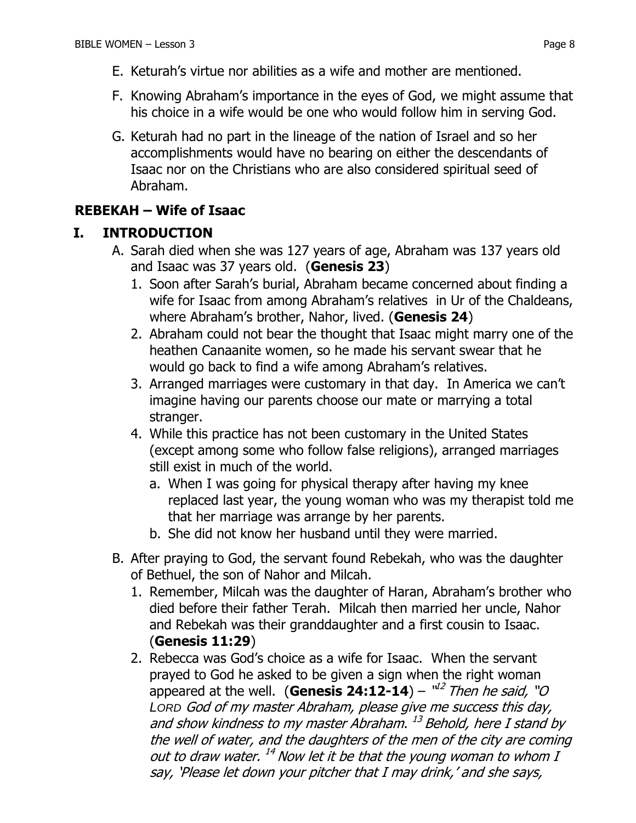- E. Keturah's virtue nor abilities as a wife and mother are mentioned.
- F. Knowing Abraham's importance in the eyes of God, we might assume that his choice in a wife would be one who would follow him in serving God.
- G. Keturah had no part in the lineage of the nation of Israel and so her accomplishments would have no bearing on either the descendants of Isaac nor on the Christians who are also considered spiritual seed of Abraham.

# **REBEKAH – Wife of Isaac**

## **I. INTRODUCTION**

- A. Sarah died when she was 127 years of age, Abraham was 137 years old and Isaac was 37 years old. (**Genesis 23**)
	- 1. Soon after Sarah's burial, Abraham became concerned about finding a wife for Isaac from among Abraham's relatives in Ur of the Chaldeans, where Abraham's brother, Nahor, lived. (**Genesis 24**)
	- 2. Abraham could not bear the thought that Isaac might marry one of the heathen Canaanite women, so he made his servant swear that he would go back to find a wife among Abraham's relatives.
	- 3. Arranged marriages were customary in that day. In America we can't imagine having our parents choose our mate or marrying a total stranger.
	- 4. While this practice has not been customary in the United States (except among some who follow false religions), arranged marriages still exist in much of the world.
		- a. When I was going for physical therapy after having my knee replaced last year, the young woman who was my therapist told me that her marriage was arrange by her parents.
		- b. She did not know her husband until they were married.
- B. After praying to God, the servant found Rebekah, who was the daughter of Bethuel, the son of Nahor and Milcah.
	- 1. Remember, Milcah was the daughter of Haran, Abraham's brother who died before their father Terah. Milcah then married her uncle, Nahor and Rebekah was their granddaughter and a first cousin to Isaac. (**Genesis 11:29**)
	- 2. Rebecca was God's choice as a wife for Isaac. When the servant prayed to God he asked to be given a sign when the right woman appeared at the well. (Genesis 24:12-14) – "<sup>12</sup> Then he said, "O *LORD* God of my master Abraham, please give me success this day, and show kindness to my master Abraham. <sup>13</sup> Behold, here I stand by the well of water, and the daughters of the men of the city are coming out to draw water. <sup>14</sup> Now let it be that the young woman to whom I say, 'Please let down your pitcher that I may drink,' and she says,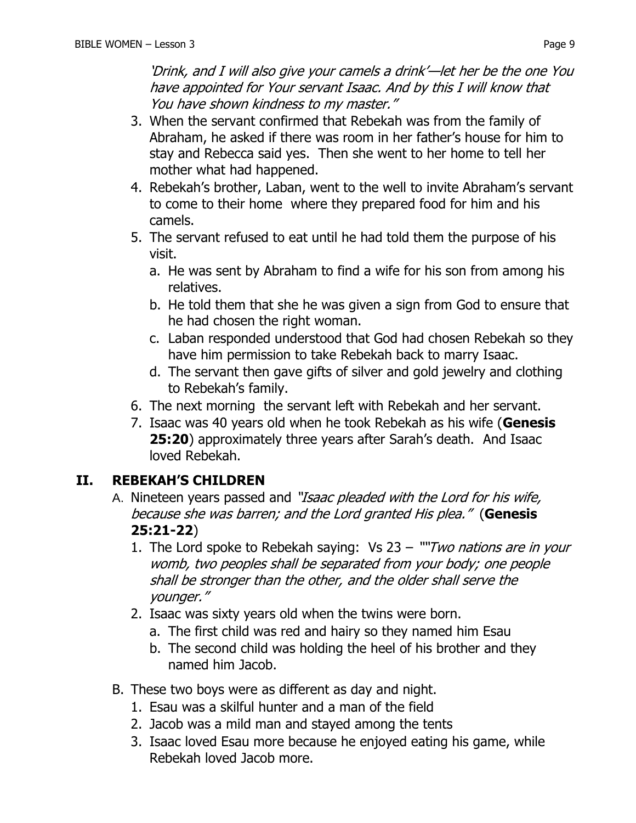'Drink, and I will also give your camels a drink'—let her be the one You have appointed for Your servant Isaac. And by this I will know that You have shown kindness to my master."

- 3. When the servant confirmed that Rebekah was from the family of Abraham, he asked if there was room in her father's house for him to stay and Rebecca said yes. Then she went to her home to tell her mother what had happened.
- 4. Rebekah's brother, Laban, went to the well to invite Abraham's servant to come to their home where they prepared food for him and his camels.
- 5. The servant refused to eat until he had told them the purpose of his visit.
	- a. He was sent by Abraham to find a wife for his son from among his relatives.
	- b. He told them that she he was given a sign from God to ensure that he had chosen the right woman.
	- c. Laban responded understood that God had chosen Rebekah so they have him permission to take Rebekah back to marry Isaac.
	- d. The servant then gave gifts of silver and gold jewelry and clothing to Rebekah's family.
- 6. The next morning the servant left with Rebekah and her servant.
- 7. Isaac was 40 years old when he took Rebekah as his wife (**Genesis 25:20**) approximately three years after Sarah's death. And Isaac loved Rebekah.

## **II. REBEKAH'S CHILDREN**

- A. Nineteen years passed and "Isaac pleaded with the Lord for his wife, because she was barren; and the Lord granted His plea." (**Genesis 25:21-22**)
	- 1. The Lord spoke to Rebekah saying: Vs  $23 -$  ""Two nations are in your womb, two peoples shall be separated from your body; one people shall be stronger than the other, and the older shall serve the younger."
	- 2. Isaac was sixty years old when the twins were born.
		- a. The first child was red and hairy so they named him Esau
		- b. The second child was holding the heel of his brother and they named him Jacob.
- B. These two boys were as different as day and night.
	- 1. Esau was a skilful hunter and a man of the field
	- 2. Jacob was a mild man and stayed among the tents
	- 3. Isaac loved Esau more because he enjoyed eating his game, while Rebekah loved Jacob more.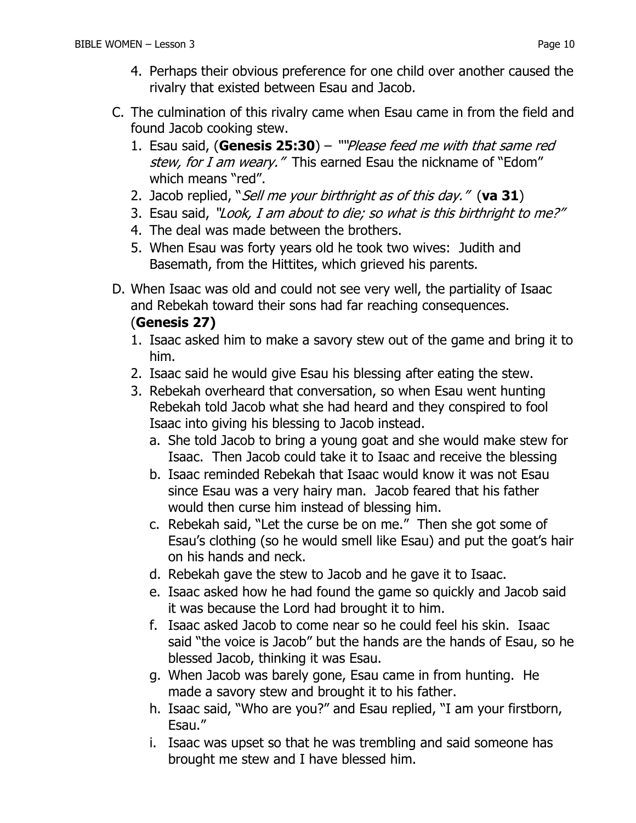- 4. Perhaps their obvious preference for one child over another caused the rivalry that existed between Esau and Jacob.
- C. The culmination of this rivalry came when Esau came in from the field and found Jacob cooking stew.
	- 1. Esau said, (**Genesis 25:30**) ""Please feed me with that same red stew, for I am weary." This earned Esau the nickname of "Edom" which means "red".
	- 2. Jacob replied, "Sell me your birthright as of this day." (**va 31**)
	- 3. Esau said, "Look, I am about to die; so what is this birthright to me?"
	- 4. The deal was made between the brothers.
	- 5. When Esau was forty years old he took two wives: Judith and Basemath, from the Hittites, which grieved his parents.
- D. When Isaac was old and could not see very well, the partiality of Isaac and Rebekah toward their sons had far reaching consequences.

#### (**Genesis 27)**

- 1. Isaac asked him to make a savory stew out of the game and bring it to him.
- 2. Isaac said he would give Esau his blessing after eating the stew.
- 3. Rebekah overheard that conversation, so when Esau went hunting Rebekah told Jacob what she had heard and they conspired to fool Isaac into giving his blessing to Jacob instead.
	- a. She told Jacob to bring a young goat and she would make stew for Isaac. Then Jacob could take it to Isaac and receive the blessing
	- b. Isaac reminded Rebekah that Isaac would know it was not Esau since Esau was a very hairy man. Jacob feared that his father would then curse him instead of blessing him.
	- c. Rebekah said, "Let the curse be on me." Then she got some of Esau's clothing (so he would smell like Esau) and put the goat's hair on his hands and neck.
	- d. Rebekah gave the stew to Jacob and he gave it to Isaac.
	- e. Isaac asked how he had found the game so quickly and Jacob said it was because the Lord had brought it to him.
	- f. Isaac asked Jacob to come near so he could feel his skin. Isaac said "the voice is Jacob" but the hands are the hands of Esau, so he blessed Jacob, thinking it was Esau.
	- g. When Jacob was barely gone, Esau came in from hunting. He made a savory stew and brought it to his father.
	- h. Isaac said, "Who are you?" and Esau replied, "I am your firstborn, Esau."
	- i. Isaac was upset so that he was trembling and said someone has brought me stew and I have blessed him.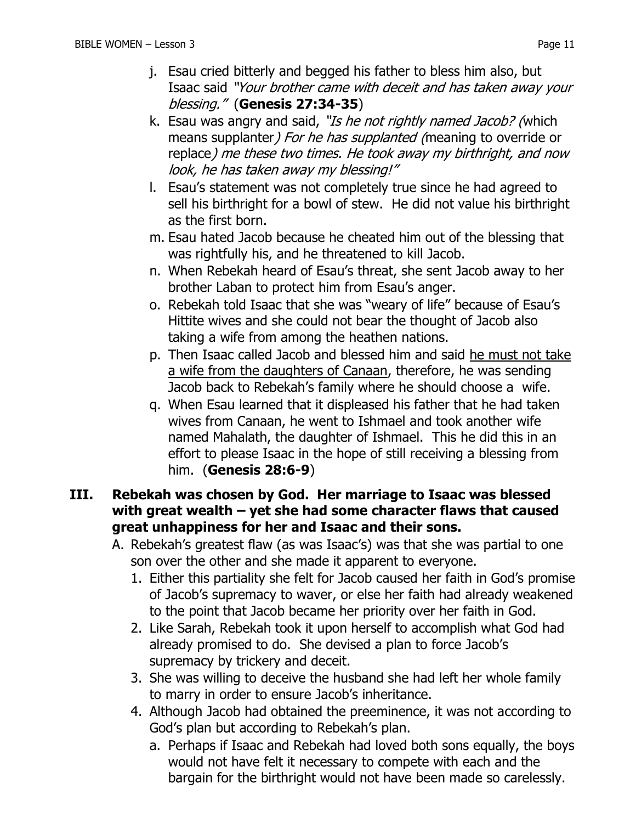- j. Esau cried bitterly and begged his father to bless him also, but Isaac said "Your brother came with deceit and has taken away your blessing." (**Genesis 27:34-35**)
- k. Esau was angry and said, "Is he not rightly named Jacob? (which means supplanter) For he has supplanted (meaning to override or replace) me these two times. He took away my birthright, and now look, he has taken away my blessing!"
- l. Esau's statement was not completely true since he had agreed to sell his birthright for a bowl of stew. He did not value his birthright as the first born.
- m. Esau hated Jacob because he cheated him out of the blessing that was rightfully his, and he threatened to kill Jacob.
- n. When Rebekah heard of Esau's threat, she sent Jacob away to her brother Laban to protect him from Esau's anger.
- o. Rebekah told Isaac that she was "weary of life" because of Esau's Hittite wives and she could not bear the thought of Jacob also taking a wife from among the heathen nations.
- p. Then Isaac called Jacob and blessed him and said he must not take a wife from the daughters of Canaan, therefore, he was sending Jacob back to Rebekah's family where he should choose a wife.
- q. When Esau learned that it displeased his father that he had taken wives from Canaan, he went to Ishmael and took another wife named Mahalath, the daughter of Ishmael. This he did this in an effort to please Isaac in the hope of still receiving a blessing from him. (**Genesis 28:6-9**)
- **III. Rebekah was chosen by God. Her marriage to Isaac was blessed with great wealth – yet she had some character flaws that caused great unhappiness for her and Isaac and their sons.**
	- A. Rebekah's greatest flaw (as was Isaac's) was that she was partial to one son over the other and she made it apparent to everyone.
		- 1. Either this partiality she felt for Jacob caused her faith in God's promise of Jacob's supremacy to waver, or else her faith had already weakened to the point that Jacob became her priority over her faith in God.
		- 2. Like Sarah, Rebekah took it upon herself to accomplish what God had already promised to do. She devised a plan to force Jacob's supremacy by trickery and deceit.
		- 3. She was willing to deceive the husband she had left her whole family to marry in order to ensure Jacob's inheritance.
		- 4. Although Jacob had obtained the preeminence, it was not according to God's plan but according to Rebekah's plan.
			- a. Perhaps if Isaac and Rebekah had loved both sons equally, the boys would not have felt it necessary to compete with each and the bargain for the birthright would not have been made so carelessly.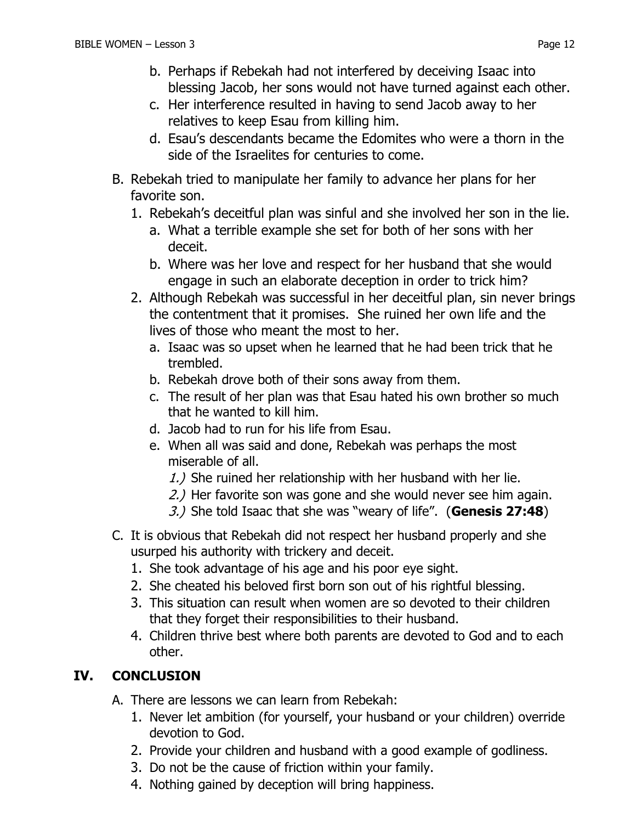- b. Perhaps if Rebekah had not interfered by deceiving Isaac into blessing Jacob, her sons would not have turned against each other.
- c. Her interference resulted in having to send Jacob away to her relatives to keep Esau from killing him.
- d. Esau's descendants became the Edomites who were a thorn in the side of the Israelites for centuries to come.
- B. Rebekah tried to manipulate her family to advance her plans for her favorite son.
	- 1. Rebekah's deceitful plan was sinful and she involved her son in the lie.
		- a. What a terrible example she set for both of her sons with her deceit.
		- b. Where was her love and respect for her husband that she would engage in such an elaborate deception in order to trick him?
	- 2. Although Rebekah was successful in her deceitful plan, sin never brings the contentment that it promises. She ruined her own life and the lives of those who meant the most to her.
		- a. Isaac was so upset when he learned that he had been trick that he trembled.
		- b. Rebekah drove both of their sons away from them.
		- c. The result of her plan was that Esau hated his own brother so much that he wanted to kill him.
		- d. Jacob had to run for his life from Esau.
		- e. When all was said and done, Rebekah was perhaps the most miserable of all.
			- 1.) She ruined her relationship with her husband with her lie.
			- 2.) Her favorite son was gone and she would never see him again.
			- 3.) She told Isaac that she was "weary of life". (**Genesis 27:48**)
- C. It is obvious that Rebekah did not respect her husband properly and she usurped his authority with trickery and deceit.
	- 1. She took advantage of his age and his poor eye sight.
	- 2. She cheated his beloved first born son out of his rightful blessing.
	- 3. This situation can result when women are so devoted to their children that they forget their responsibilities to their husband.
	- 4. Children thrive best where both parents are devoted to God and to each other.

# **IV. CONCLUSION**

- A. There are lessons we can learn from Rebekah:
	- 1. Never let ambition (for yourself, your husband or your children) override devotion to God.
	- 2. Provide your children and husband with a good example of godliness.
	- 3. Do not be the cause of friction within your family.
	- 4. Nothing gained by deception will bring happiness.